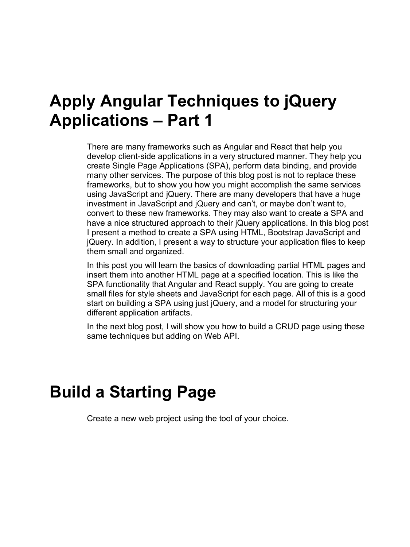## **Apply Angular Techniques to jQuery Applications – Part 1**

There are many frameworks such as Angular and React that help you develop client-side applications in a very structured manner. They help you create Single Page Applications (SPA), perform data binding, and provide many other services. The purpose of this blog post is not to replace these frameworks, but to show you how you might accomplish the same services using JavaScript and jQuery. There are many developers that have a huge investment in JavaScript and jQuery and can't, or maybe don't want to, convert to these new frameworks. They may also want to create a SPA and have a nice structured approach to their jQuery applications. In this blog post I present a method to create a SPA using HTML, Bootstrap JavaScript and jQuery. In addition, I present a way to structure your application files to keep them small and organized.

In this post you will learn the basics of downloading partial HTML pages and insert them into another HTML page at a specified location. This is like the SPA functionality that Angular and React supply. You are going to create small files for style sheets and JavaScript for each page. All of this is a good start on building a SPA using just jQuery, and a model for structuring your different application artifacts.

In the next blog post, I will show you how to build a CRUD page using these same techniques but adding on Web API.

### **Build a Starting Page**

Create a new web project using the tool of your choice.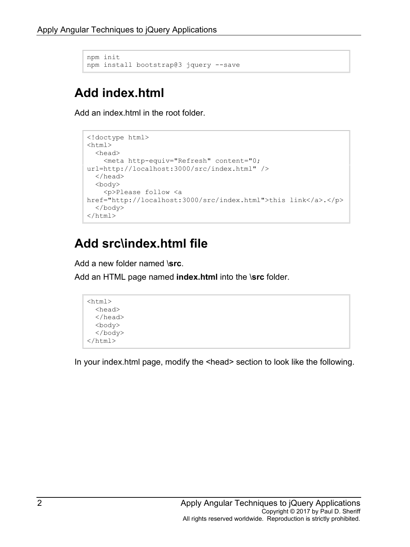```
npm init
npm install bootstrap@3 jquery --save
```
#### **Add index.html**

Add an index.html in the root folder.

```
<!doctype html>
<html>
  <head>
     <meta http-equiv="Refresh" content="0; 
url=http://localhost:3000/src/index.html" />
  </head>
   <body>
     <p>Please follow <a 
href="http://localhost:3000/src/index.html">this link</a>.</p>
   </body>
\langle/html\rangle
```
#### **Add src\index.html file**

Add a new folder named \**src**.

Add an HTML page named **index.html** into the \**src** folder.

```
<html> <head>
   </head>
   <body>
   </body>
\langle/html>
```
In your index.html page, modify the <head> section to look like the following.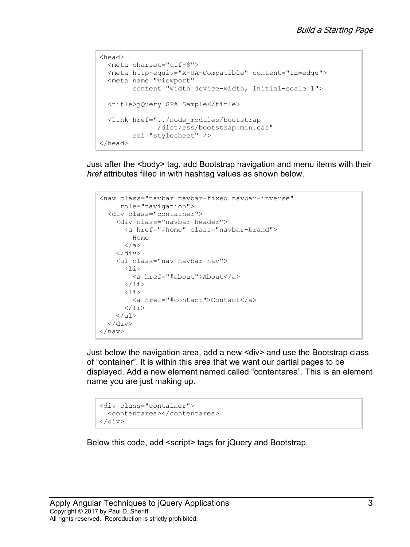```
<head>
  <meta charset="utf-8">
  <meta http-equiv="X-UA-Compatible" content="IE=edge">
  <meta name="viewport"
        content="width=device-width, initial-scale=1">
 <title>jQuery SPA Sample</title>
  <link href="../node_modules/bootstrap
               /dist/css/bootstrap.min.css" 
        rel="stylesheet" />
</head>
```
Just after the <body> tag, add Bootstrap navigation and menu items with their *href* attributes filled in with hashtag values as shown below.

```
<nav class="navbar navbar-fixed navbar-inverse"
      role="navigation">
   <div class="container">
     <div class="navbar-header">
        <a href="#home" class="navbar-brand">
          Home
        </a>
    \langle div\rangle <ul class="nav navbar-nav">
       \langleli>
          <a href="#about">About</a>
       \langle/li>\langleli>
          <a href="#contact">Contact</a>
      \langle/li>\langle/ul>
  \langle div>
\langle/nav\rangle
```
Just below the navigation area, add a new <div> and use the Bootstrap class of "container". It is within this area that we want our partial pages to be displayed. Add a new element named called "contentarea". This is an element name you are just making up.

```
<div class="container">
  <contentarea></contentarea>
\langle/div\rangle
```
Below this code, add <script> tags for jQuery and Bootstrap.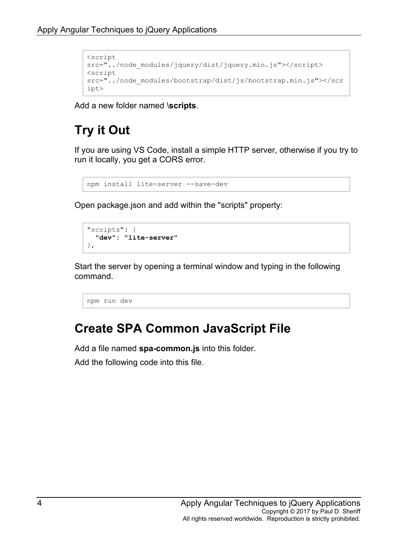```
<script 
src="../node_modules/jquery/dist/jquery.min.js"></script>
<script 
src="../node_modules/bootstrap/dist/js/bootstrap.min.js"></scr
ipt>
```
Add a new folder named \**scripts**.

#### **Try it Out**

If you are using VS Code, install a simple HTTP server, otherwise if you try to run it locally, you get a CORS error.

```
npm install lite-server --save-dev
```
Open package.json and add within the "scripts" property:

```
"scripts": { 
 "dev": "lite-server"
},
```
Start the server by opening a terminal window and typing in the following command.

npm run dev

#### **Create SPA Common JavaScript File**

Add a file named **spa-common.js** into this folder.

Add the following code into this file.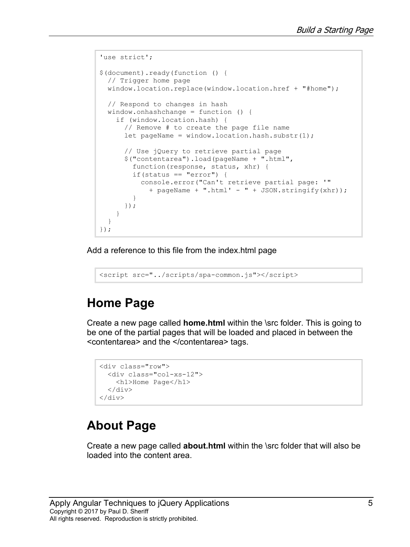```
'use strict';
$(document).ready(function () {
  // Trigger home page
  window.location.replace(window.location.href + "#home");
  // Respond to changes in hash
  window.onhashchange = function () {
     if (window.location.hash) {
       // Remove # to create the page file name
      let pageName = window.location.hash.substr(1);
       // Use jQuery to retrieve partial page
       $("contentarea").load(pageName + ".html",
         function(response, status, xhr) {
        if(status == "error") {
           console.error("Can't retrieve partial page: '"
            + pageName + ".html' - " + JSON.stringify(xhr));
 }
       });
     }
   }
});
```
Add a reference to this file from the index.html page

```
<script src="../scripts/spa-common.js"></script>
```
#### **Home Page**

Create a new page called **home.html** within the \src folder. This is going to be one of the partial pages that will be loaded and placed in between the <contentarea> and the </contentarea> tags.

```
<div class="row">
   <div class="col-xs-12">
     <h1>Home Page</h1>
  \langle div\rangle</div>
```
#### **About Page**

Create a new page called **about.html** within the \src folder that will also be loaded into the content area.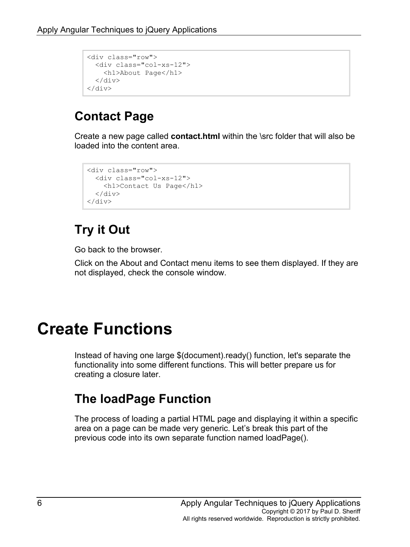```
<div class="row">
  <div class="col-xs-12">
     <h1>About Page</h1>
   </div>
\langle/div\rangle
```
#### **Contact Page**

Create a new page called **contact.html** within the \src folder that will also be loaded into the content area.

```
<div class="row">
  <div class="col-xs-12">
    <h1>Contact Us Page</h1>
 \langle div>
</div>
```
### **Try it Out**

Go back to the browser.

Click on the About and Contact menu items to see them displayed. If they are not displayed, check the console window.

## **Create Functions**

Instead of having one large \$(document).ready() function, let's separate the functionality into some different functions. This will better prepare us for creating a closure later.

#### **The loadPage Function**

The process of loading a partial HTML page and displaying it within a specific area on a page can be made very generic. Let's break this part of the previous code into its own separate function named loadPage().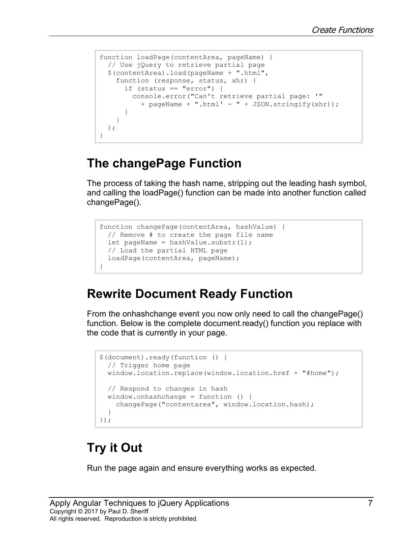```
function loadPage(contentArea, pageName) {
 // Use jQuery to retrieve partial page
  $(contentArea).load(pageName + ".html", 
    function (response, status, xhr) {
     if (status == "error") {
        console.error("Can't retrieve partial page: '"
          + pageName + ".html' - " + JSON.stringify(xhr));
 }
     }
  );
}
```
#### **The changePage Function**

The process of taking the hash name, stripping out the leading hash symbol, and calling the loadPage() function can be made into another function called changePage().

```
function changePage(contentArea, hashValue) {
  // Remove # to create the page file name
 let pageName = hashValue.substr(1);
  // Load the partial HTML page
   loadPage(contentArea, pageName);
}
```
#### **Rewrite Document Ready Function**

From the onhashchange event you now only need to call the changePage() function. Below is the complete document.ready() function you replace with the code that is currently in your page.

```
$(document).ready(function () {
  // Trigger home page
  window.location.replace(window.location.href + "#home");
  // Respond to changes in hash
  window.onhashchange = function () {
     changePage("contentarea", window.location.hash);
   }
});
```
#### **Try it Out**

Run the page again and ensure everything works as expected.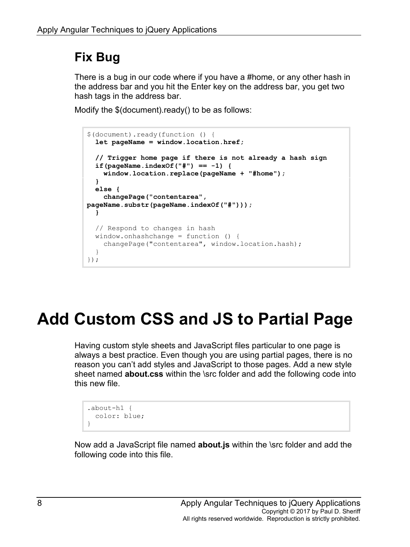#### **Fix Bug**

There is a bug in our code where if you have a #home, or any other hash in the address bar and you hit the Enter key on the address bar, you get two hash tags in the address bar.

Modify the \$(document).ready() to be as follows:



# **Add Custom CSS and JS to Partial Page**

Having custom style sheets and JavaScript files particular to one page is always a best practice. Even though you are using partial pages, there is no reason you can't add styles and JavaScript to those pages. Add a new style sheet named **about.css** within the \src folder and add the following code into this new file.

```
.about-h1 {
  color: blue;
}
```
Now add a JavaScript file named **about.js** within the \src folder and add the following code into this file.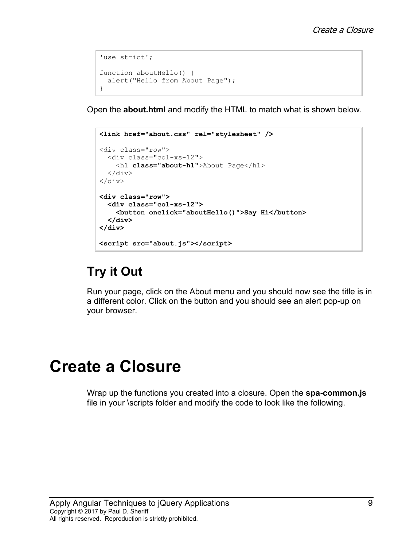```
'use strict';
function aboutHello() {
  alert("Hello from About Page");
}
```
Open the **about.html** and modify the HTML to match what is shown below.

```
<link href="about.css" rel="stylesheet" />
<div class="row">
   <div class="col-xs-12">
     <h1 class="about-h1">About Page</h1>
  \langle div\rangle\langle/div\rangle<div class="row">
   <div class="col-xs-12">
     <button onclick="aboutHello()">Say Hi</button>
  </div>
</div>
<script src="about.js"></script>
```
#### **Try it Out**

Run your page, click on the About menu and you should now see the title is in a different color. Click on the button and you should see an alert pop-up on your browser.

## **Create a Closure**

Wrap up the functions you created into a closure. Open the **spa-common.js** file in your \scripts folder and modify the code to look like the following.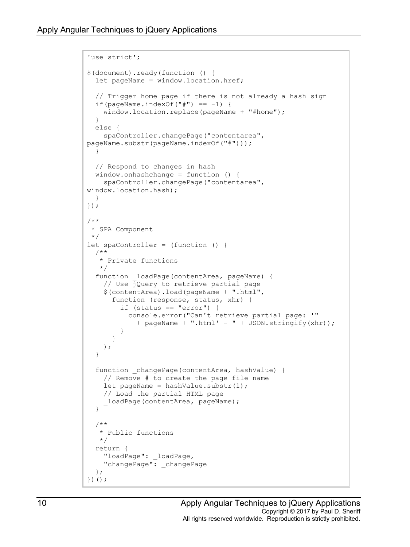```
'use strict';
$(document).ready(function () {
 let pageName = window.location.href;
   // Trigger home page if there is not already a hash sign
 if(pageName.indexOf("#") == -1) {
     window.location.replace(pageName + "#home");
   }
  else {
     spaController.changePage("contentarea", 
pageName.substr(pageName.indexOf("#")));
  }
   // Respond to changes in hash
  window.onhashchange = function () {
     spaController.changePage("contentarea", 
window.location.hash);
  }
});
/**
* SPA Component
*/
let spaController = (function () {
  /**
    * Private functions
    */
  function loadPage(contentArea, pageName) {
     // Use jQuery to retrieve partial page
     $(contentArea).load(pageName + ".html", 
       function (response, status, xhr) {
        if (status == "error") {
           console.error("Can't retrieve partial page: '"
            + pageName + ".html' - " + JSON.stringify(xhr));
 }
 }
     );
   }
   function _changePage(contentArea, hashValue) {
     // Remove # to create the page file name
    let pageName = hashValue.substr(1);
     // Load the partial HTML page
    loadPage(contentArea, pageName);
   }
   /**
    * Public functions
    */
   return {
     "loadPage": _loadPage,
     "changePage": _changePage
   };
})();
```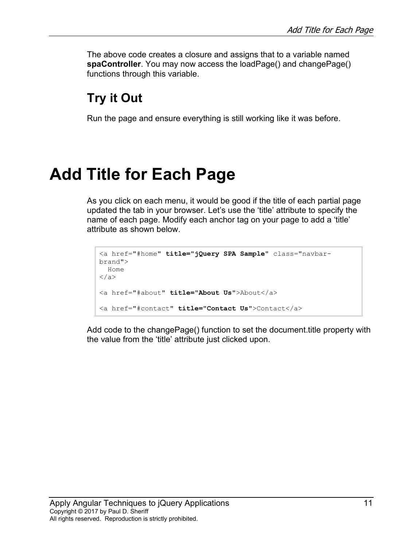The above code creates a closure and assigns that to a variable named **spaController**. You may now access the loadPage() and changePage() functions through this variable.

#### **Try it Out**

Run the page and ensure everything is still working like it was before.

# **Add Title for Each Page**

As you click on each menu, it would be good if the title of each partial page updated the tab in your browser. Let's use the 'title' attribute to specify the name of each page. Modify each anchor tag on your page to add a 'title' attribute as shown below.

```
<a href="#home" title="jQuery SPA Sample" class="navbar-
brand">
  Home
\langlea>
<a href="#about" title="About Us">About</a>
<a href="#contact" title="Contact Us">Contact</a>
```
Add code to the changePage() function to set the document.title property with the value from the 'title' attribute just clicked upon.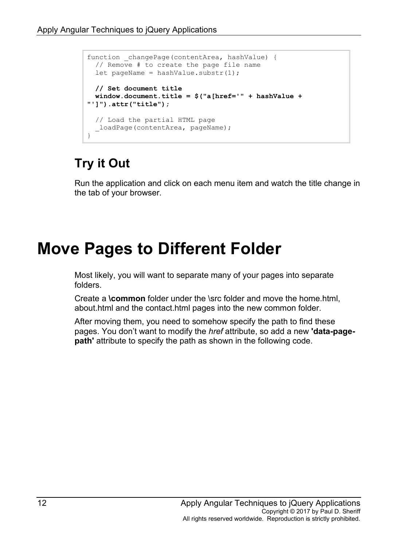```
function changePage(contentArea, hashValue) {
  // Remove # to create the page file name
 let pageName = hashValue.substr(1);
  // Set document title
  window.document.title = $("a[href='" + hashValue + 
"']").attr("title");
  // Load the partial HTML page
  _loadPage(contentArea, pageName);
}
```
Run the application and click on each menu item and watch the title change in the tab of your browser.

## **Move Pages to Different Folder**

Most likely, you will want to separate many of your pages into separate folders.

Create a **\common** folder under the \src folder and move the home.html, about.html and the contact.html pages into the new common folder.

After moving them, you need to somehow specify the path to find these pages. You don't want to modify the *href* attribute, so add a new **'data-pagepath'** attribute to specify the path as shown in the following code.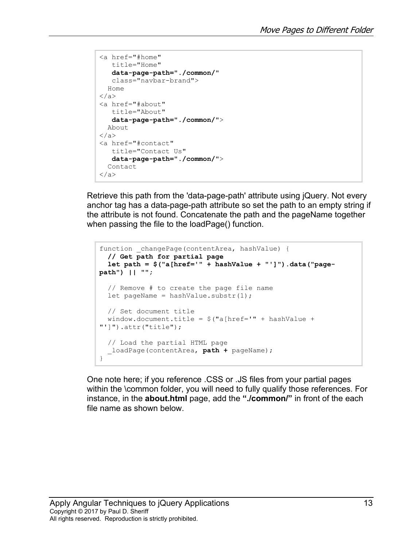```
<a href="#home" 
   title="Home" 
   data-page-path="./common/"
   class="navbar-brand">
  Home
</a>
<a href="#about" 
   title="About" 
   data-page-path="./common/">
  About
</a>
<a href="#contact" 
   title="Contact Us" 
   data-page-path="./common/">
  Contact
\langlea>
```
Retrieve this path from the 'data-page-path' attribute using jQuery. Not every anchor tag has a data-page-path attribute so set the path to an empty string if the attribute is not found. Concatenate the path and the pageName together when passing the file to the loadPage() function.

```
function changePage(contentArea, hashValue) {
   // Get path for partial page
   let path = $("a[href='" + hashValue + "']").data("page-
path") || "";
   // Remove # to create the page file name
  let pageName = hashValue.substr(1);
  // Set document title
 window.document.title = $("a[href=" + hashValue +"']").attr("title");
   // Load the partial HTML page
   _loadPage(contentArea, path + pageName);
}
```
One note here; if you reference .CSS or .JS files from your partial pages within the \common folder, you will need to fully qualify those references. For instance, in the **about.html** page, add the **"./common/"** in front of the each file name as shown below.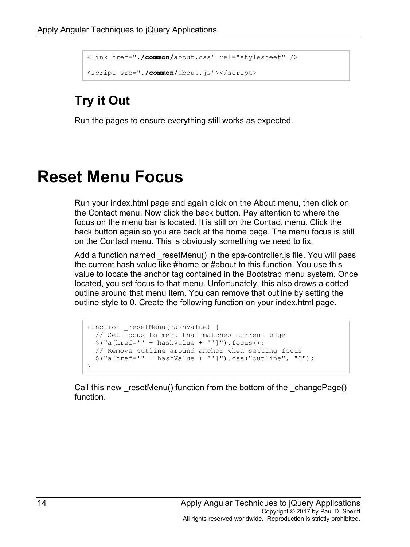```
<link href="./common/about.css" rel="stylesheet" />
<script src="./common/about.js"></script>
```
Run the pages to ensure everything still works as expected.

## **Reset Menu Focus**

Run your index.html page and again click on the About menu, then click on the Contact menu. Now click the back button. Pay attention to where the focus on the menu bar is located. It is still on the Contact menu. Click the back button again so you are back at the home page. The menu focus is still on the Contact menu. This is obviously something we need to fix.

Add a function named resetMenu() in the spa-controller. is file. You will pass the current hash value like #home or #about to this function. You use this value to locate the anchor tag contained in the Bootstrap menu system. Once located, you set focus to that menu. Unfortunately, this also draws a dotted outline around that menu item. You can remove that outline by setting the outline style to 0. Create the following function on your index.html page.

```
function resetMenu(hashValue) {
  // Set focus to menu that matches current page
 $("a[href='" + hashValue + "']").focus();
  // Remove outline around anchor when setting focus
 $("a[href='" + hashValue + "']") . \ncss("outline", "0");}
```
Call this new resetMenu() function from the bottom of the changePage() function.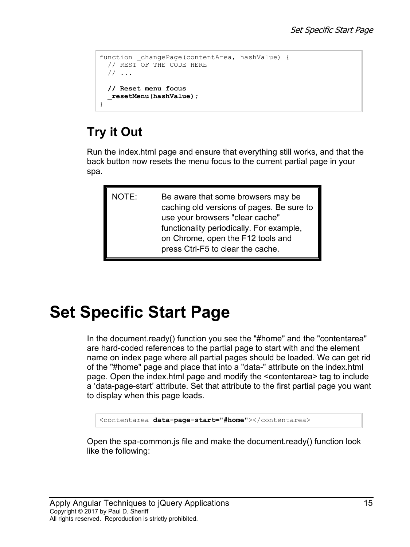```
function changePage(contentArea, hashValue) {
  // REST OF THE CODE HERE
  // ...
  // Reset menu focus
   _resetMenu(hashValue);
}
```
Run the index.html page and ensure that everything still works, and that the back button now resets the menu focus to the current partial page in your spa.

| NOTE: | Be aware that some browsers may be<br>caching old versions of pages. Be sure to<br>use your browsers "clear cache" |
|-------|--------------------------------------------------------------------------------------------------------------------|
|       | functionality periodically. For example,<br>on Chrome, open the F12 tools and<br>press Ctrl-F5 to clear the cache. |

# **Set Specific Start Page**

In the document.ready() function you see the "#home" and the "contentarea" are hard-coded references to the partial page to start with and the element name on index page where all partial pages should be loaded. We can get rid of the "#home" page and place that into a "data-" attribute on the index.html page. Open the index.html page and modify the <contentarea> tag to include a 'data-page-start' attribute. Set that attribute to the first partial page you want to display when this page loads.

<contentarea **data-page-start="#home"**></contentarea>

Open the spa-common.js file and make the document.ready() function look like the following: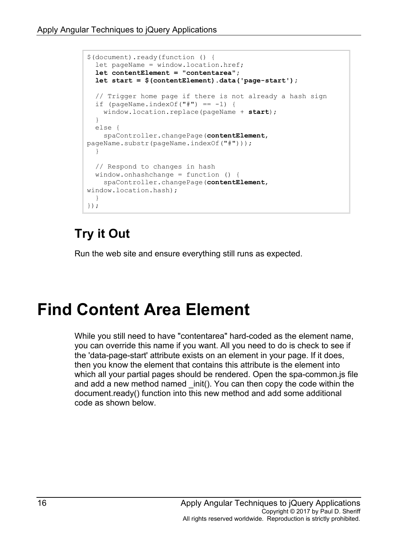```
$(document).ready(function () {
 let pageName = window.location.href;
   let contentElement = "contentarea";
   let start = $(contentElement).data('page-start');
   // Trigger home page if there is not already a hash sign
 if (pageName.indexOf("#") == -1) {
     window.location.replace(pageName + start);
   }
  else {
     spaController.changePage(contentElement, 
pageName.substr(pageName.indexOf("#")));
  }
   // Respond to changes in hash
   window.onhashchange = function () {
     spaController.changePage(contentElement, 
window.location.hash);
  }
});
```
Run the web site and ensure everything still runs as expected.

# **Find Content Area Element**

While you still need to have "contentarea" hard-coded as the element name, you can override this name if you want. All you need to do is check to see if the 'data-page-start' attribute exists on an element in your page. If it does, then you know the element that contains this attribute is the element into which all your partial pages should be rendered. Open the spa-common.js file and add a new method named init(). You can then copy the code within the document.ready() function into this new method and add some additional code as shown below.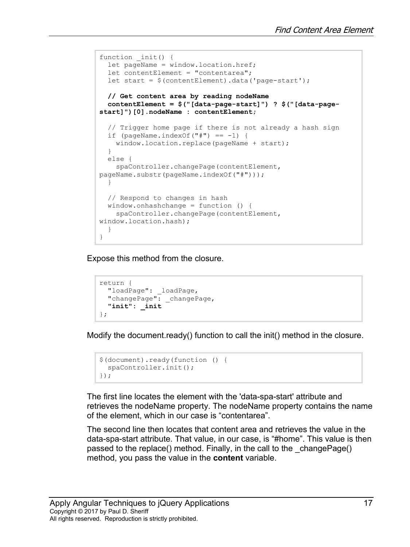```
function init() {
 let pageName = window.location.href;
 let contentElement = "contentarea";
 let start = $(contentElement).data('page-start');
  // Get content area by reading nodeName
  contentElement = $("[data-page-start]") ? $("[data-page-
start]")[0].nodeName : contentElement;
   // Trigger home page if there is not already a hash sign
 if (pageName.indexOf("#") == -1) {
   window.location.replace(pageName + start);
  }
  else {
     spaController.changePage(contentElement, 
pageName.substr(pageName.indexOf("#")));
   }
  // Respond to changes in hash
  window.onhashchange = function () {
    spaController.changePage(contentElement,
window.location.hash);
  }
}
```
Expose this method from the closure.

```
return {
   "loadPage": _loadPage,
   "changePage": _changePage,
   "init": _init
};
```
Modify the document.ready() function to call the init() method in the closure.

```
$(document).ready(function () {
   spaController.init();
});
```
The first line locates the element with the 'data-spa-start' attribute and retrieves the nodeName property. The nodeName property contains the name of the element, which in our case is "contentarea".

The second line then locates that content area and retrieves the value in the data-spa-start attribute. That value, in our case, is "#home". This value is then passed to the replace() method. Finally, in the call to the \_changePage() method, you pass the value in the **content** variable.